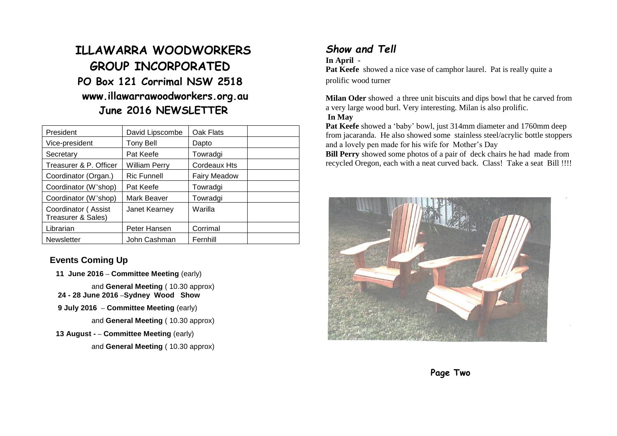# **ILLAWARRA WOODWORKERS GROUP INCORPORATED PO Box 121 Corrimal NSW 2518 www.illawarrawoodworkers.org.au June 2016 NEWSLETTER**

| President                                 | David Lipscombe      | Oak Flats           |  |
|-------------------------------------------|----------------------|---------------------|--|
| Vice-president                            | <b>Tony Bell</b>     | Dapto               |  |
| Secretary                                 | Pat Keefe            | Towradgi            |  |
| Treasurer & P. Officer                    | <b>William Perry</b> | Cordeaux Hts        |  |
| Coordinator (Organ.)                      | <b>Ric Funnell</b>   | <b>Fairy Meadow</b> |  |
| Coordinator (W'shop)                      | Pat Keefe            | Towradgi            |  |
| Coordinator (W'shop)                      | Mark Beaver          | Towradgi            |  |
| Coordinator (Assist<br>Treasurer & Sales) | Janet Kearney        | Warilla             |  |
| Librarian                                 | Peter Hansen         | Corrimal            |  |
| <b>Newsletter</b>                         | John Cashman         | Fernhill            |  |

#### **Events Coming Up**

 **11 June 2016 – Committee Meeting** (early)

 and **General Meeting** ( 10.30 approx)  **24 - 28 June 2016 –Sydney Wood Show**

**9 July 2016 – Committee Meeting** (early)

and **General Meeting** ( 10.30 approx)

 **13 August - – Committee Meeting** (early)

and **General Meeting** ( 10.30 approx)

# *Show and Tell*

**In April -**

Pat Keefe showed a nice vase of camphor laurel. Pat is really quite a prolific wood turner

**Milan Oder** showed a three unit biscuits and dips bowl that he carved from a very large wood burl. Very interesting. Milan is also prolific. **In May**

**Pat Keefe** showed a 'baby' bowl, just 314mm diameter and 1760mm deep from jacaranda. He also showed some stainless steel/acrylic bottle stoppers and a lovely pen made for his wife for Mother's Day

**Bill Perry** showed some photos of a pair of deck chairs he had made from recycled Oregon, each with a neat curved back. Class! Take a seat Bill !!!!



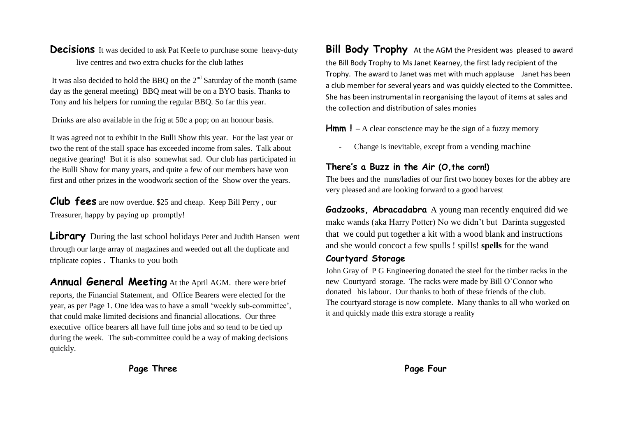**Decisions** It was decided to ask Pat Keefe to purchase some heavy-duty live centres and two extra chucks for the club lathes

It was also decided to hold the BBO on the  $2<sup>nd</sup>$  Saturday of the month (same day as the general meeting) BBQ meat will be on a BYO basis. Thanks to Tony and his helpers for running the regular BBQ. So far this year.

Drinks are also available in the frig at 50c a pop; on an honour basis.

It was agreed not to exhibit in the Bulli Show this year. For the last year or two the rent of the stall space has exceeded income from sales. Talk about negative gearing! But it is also somewhat sad. Our club has participated in the Bulli Show for many years, and quite a few of our members have won first and other prizes in the woodwork section of the Show over the years.

**Club fees** are now overdue. \$25 and cheap. Keep Bill Perry , our Treasurer, happy by paying up promptly!

**Library** During the last school holidays Peter and Judith Hansen went through our large array of magazines and weeded out all the duplicate and triplicate copies . Thanks to you both

**Annual General Meeting** At the April AGM. there were brief reports, the Financial Statement, and Office Bearers were elected for the year, as per Page 1. One idea was to have a small 'weekly sub-committee', that could make limited decisions and financial allocations. Our three executive office bearers all have full time jobs and so tend to be tied up during the week. The sub-committee could be a way of making decisions quickly.

**Bill Body Trophy** At the AGM the President was pleased to award the Bill Body Trophy to Ms Janet Kearney, the first lady recipient of the Trophy. The award to Janet was met with much applause Janet has been a club member for several years and was quickly elected to the Committee. She has been instrumental in reorganising the layout of items at sales and the collection and distribution of sales monies

**Hmm !** – A clear conscience may be the sign of a fuzzy memory

- Change is inevitable, except from a vending machine

## **There's a Buzz in the Air (O,the corn!)**

The bees and the nuns/ladies of our first two honey boxes for the abbey are very pleased and are looking forward to a good harvest

**Gadzooks, Abracadabra** A young man recently enquired did we make wands (aka Harry Potter) No we didn't but Darinta suggested that we could put together a kit with a wood blank and instructions and she would concoct a few spulls ! spills! **spells** for the wand

### **Courtyard Storage**

John Gray of P G Engineering donated the steel for the timber racks in the new Courtyard storage. The racks were made by Bill O'Connor who donated his labour. Our thanks to both of these friends of the club. The courtyard storage is now complete. Many thanks to all who worked on it and quickly made this extra storage a reality

**Page Three**